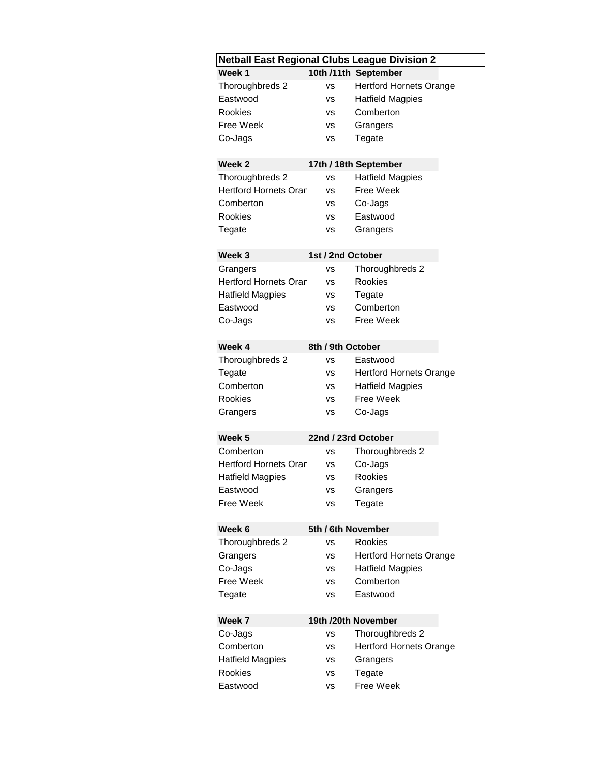| <b>Netball East Regional Clubs League Division 2</b> |                   |                                |  |  |  |
|------------------------------------------------------|-------------------|--------------------------------|--|--|--|
| 10th /11th September<br>Week 1                       |                   |                                |  |  |  |
| Thoroughbreds 2                                      | vs                | <b>Hertford Hornets Orange</b> |  |  |  |
| Eastwood                                             | ٧S                | <b>Hatfield Magpies</b>        |  |  |  |
| <b>Rookies</b>                                       | vs                | Comberton                      |  |  |  |
| <b>Free Week</b>                                     | vs                | Grangers                       |  |  |  |
| Co-Jags                                              | ٧S                | Tegate                         |  |  |  |
|                                                      |                   |                                |  |  |  |
| Week <sub>2</sub>                                    |                   | 17th / 18th September          |  |  |  |
| Thoroughbreds 2                                      | vs                | <b>Hatfield Magpies</b>        |  |  |  |
| <b>Hertford Hornets Orar</b>                         | VS                | Free Week                      |  |  |  |
| Comberton                                            | vs                | Co-Jags                        |  |  |  |
| <b>Rookies</b>                                       | vs                | Eastwood                       |  |  |  |
| Tegate                                               | vs                | Grangers                       |  |  |  |
| Week <sub>3</sub>                                    | 1st / 2nd October |                                |  |  |  |
| Grangers                                             | vs                | Thoroughbreds 2                |  |  |  |
| <b>Hertford Hornets Orar</b>                         | vs                | <b>Rookies</b>                 |  |  |  |
| <b>Hatfield Magpies</b>                              | vs                | Tegate                         |  |  |  |
| Eastwood                                             | vs                | Comberton                      |  |  |  |
| Co-Jags                                              | ٧S                | Free Week                      |  |  |  |
|                                                      |                   |                                |  |  |  |
| Week 4                                               | 8th / 9th October |                                |  |  |  |
| Thoroughbreds 2                                      | ٧S                | Eastwood                       |  |  |  |
| Tegate                                               | vs                | <b>Hertford Hornets Orange</b> |  |  |  |
| Comberton                                            | <b>VS</b>         | <b>Hatfield Magpies</b>        |  |  |  |
| <b>Rookies</b>                                       | vs                | Free Week                      |  |  |  |
| Grangers                                             | <b>VS</b>         | Co-Jags                        |  |  |  |
| Week <sub>5</sub>                                    |                   | 22nd / 23rd October            |  |  |  |
| Comberton                                            | vs                | Thoroughbreds 2                |  |  |  |
| <b>Hertford Hornets Orar</b>                         | vs                | Co-Jags                        |  |  |  |
| <b>Hatfield Magpies</b>                              |                   | Rookies                        |  |  |  |
|                                                      | ٧S                |                                |  |  |  |
| Eastwood<br><b>Free Week</b>                         | vs                | Grangers                       |  |  |  |
|                                                      | ٧S                | Tegate                         |  |  |  |
| 5th / 6th November<br>Week <sub>6</sub>              |                   |                                |  |  |  |
| Thoroughbreds 2                                      | vs                | <b>Rookies</b>                 |  |  |  |
| Grangers                                             | vs                | <b>Hertford Hornets Orange</b> |  |  |  |
| Co-Jags                                              | ٧S                | <b>Hatfield Magpies</b>        |  |  |  |
| Free Week                                            | vs                | Comberton                      |  |  |  |
| Tegate                                               | vs                | Eastwood                       |  |  |  |
|                                                      |                   |                                |  |  |  |
| Week 7<br>19th /20th November                        |                   |                                |  |  |  |
| Co-Jags                                              | ٧S                | Thoroughbreds 2                |  |  |  |
| Comberton                                            | vs                | <b>Hertford Hornets Orange</b> |  |  |  |
| <b>Hatfield Magpies</b>                              | vs                | Grangers                       |  |  |  |
| <b>Rookies</b>                                       | ٧S                | Tegate                         |  |  |  |
| Eastwood                                             | ٧S                | Free Week                      |  |  |  |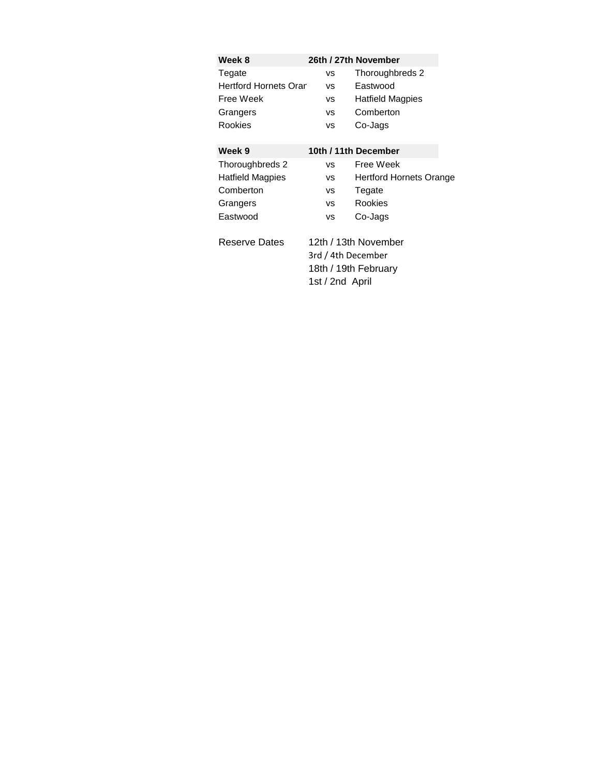| Week 8                       |                    | 26th / 27th November           |
|------------------------------|--------------------|--------------------------------|
| Tegate                       | vs                 | Thoroughbreds 2                |
| <b>Hertford Hornets Orar</b> | vs                 | Eastwood                       |
| Free Week                    | vs                 | Hatfield Magpies               |
| Grangers                     | vs                 | Comberton                      |
| Rookies                      | vs                 | Co-Jags                        |
| Week 9                       |                    | 10th / 11th December           |
| Thoroughbreds 2              | vs                 | Free Week                      |
| <b>Hatfield Magpies</b>      | VS.                | <b>Hertford Hornets Orange</b> |
| Comberton                    | vs                 | Tegate                         |
| Grangers                     | <b>VS</b>          | Rookies                        |
| Eastwood                     | ٧S                 | Co-Jags                        |
| Reserve Dates                |                    | 12th / 13th November           |
|                              | 3rd / 4th December |                                |
|                              |                    | 18th / 19th February           |
|                              | 1st / 2nd April    |                                |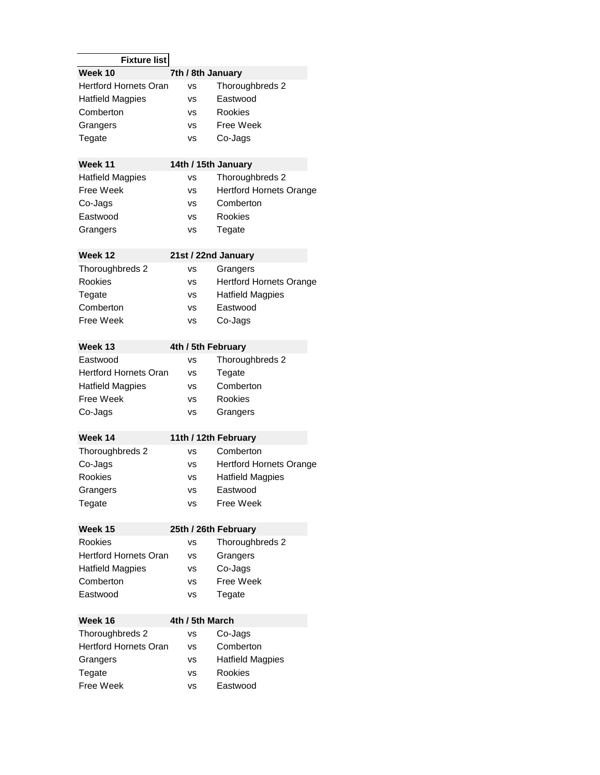| <b>Fixture list</b>             |                     |                                |  |  |  |
|---------------------------------|---------------------|--------------------------------|--|--|--|
| Week 10                         | 7th / 8th January   |                                |  |  |  |
| <b>Hertford Hornets Oran</b>    | vs                  | Thoroughbreds 2                |  |  |  |
| <b>Hatfield Magpies</b>         | vs                  | Eastwood                       |  |  |  |
| Comberton                       | vs                  | Rookies                        |  |  |  |
| Grangers                        | vs                  | Free Week                      |  |  |  |
| Tegate                          | VS                  | Co-Jags                        |  |  |  |
|                                 |                     |                                |  |  |  |
| 14th / 15th January<br>Week 11  |                     |                                |  |  |  |
| <b>Hatfield Magpies</b>         | vs                  | Thoroughbreds 2                |  |  |  |
| <b>Free Week</b>                | vs                  | <b>Hertford Hornets Orange</b> |  |  |  |
| Co-Jags                         | vs                  | Comberton                      |  |  |  |
| Eastwood                        | vs                  | Rookies                        |  |  |  |
| Grangers                        | VS                  | Tegate                         |  |  |  |
|                                 |                     |                                |  |  |  |
| Week 12                         | 21st / 22nd January |                                |  |  |  |
| Thoroughbreds 2                 | vs                  | Grangers                       |  |  |  |
| <b>Rookies</b>                  | vs                  | <b>Hertford Hornets Orange</b> |  |  |  |
| Tegate                          | VS                  | <b>Hatfield Magpies</b>        |  |  |  |
| Comberton                       | vs                  | Eastwood                       |  |  |  |
| Free Week                       | vs                  | Co-Jags                        |  |  |  |
| Week 13                         | 4th / 5th February  |                                |  |  |  |
| Eastwood                        | vs                  | Thoroughbreds 2                |  |  |  |
| <b>Hertford Hornets Oran</b>    | vs                  | Tegate                         |  |  |  |
| <b>Hatfield Magpies</b>         | vs                  | Comberton                      |  |  |  |
| <b>Free Week</b>                | vs                  | Rookies                        |  |  |  |
| Co-Jags                         | ٧S                  | Grangers                       |  |  |  |
|                                 |                     |                                |  |  |  |
| Week 14                         |                     | 11th / 12th February           |  |  |  |
| Thoroughbreds 2                 | vs                  | Comberton                      |  |  |  |
| Co-Jags                         | vs                  | <b>Hertford Hornets Orange</b> |  |  |  |
| Rookies                         | VS                  | <b>Hatfield Magpies</b>        |  |  |  |
| Grangers                        | vs                  | Eastwood                       |  |  |  |
| Tegate                          | vs                  | Free Week                      |  |  |  |
| Week 15<br>25th / 26th February |                     |                                |  |  |  |
| Rookies                         | vs                  | Thoroughbreds 2                |  |  |  |
| Hertford Hornets Oran           | ٧S                  | Grangers                       |  |  |  |
| <b>Hatfield Magpies</b>         | ٧S                  | Co-Jags                        |  |  |  |
| Comberton                       | ٧S                  | Free Week                      |  |  |  |
| Eastwood                        | vs                  | Tegate                         |  |  |  |
|                                 |                     |                                |  |  |  |
| Week 16                         | 4th / 5th March     |                                |  |  |  |
| Thoroughbreds 2                 | ٧S                  | Co-Jags                        |  |  |  |
| <b>Hertford Hornets Oran</b>    | ٧S                  | Comberton                      |  |  |  |
| Grangers                        | ٧S                  | <b>Hatfield Magpies</b>        |  |  |  |
| Tegate                          | ٧S                  | Rookies                        |  |  |  |
| Free Week                       | ٧S                  | Eastwood                       |  |  |  |